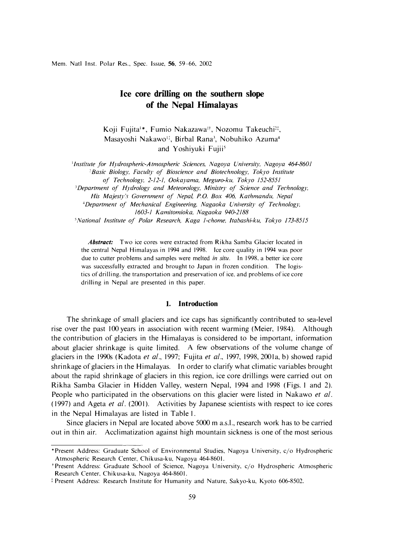# **Ice core drilling on the southern slope of the Nepal Himalayas**

Koji Fujita<sup>1</sup>\*, Fumio Nakazawa<sup>1†</sup>, Nozomu Takeuchi<sup>21</sup>, Masayoshi Nakawo<sup>11</sup>, Birbal Rana<sup>3</sup>, Nobuhiko Azuma<sup>4</sup> and Yoshiyuki Fujii<sup>5</sup>

<sup>1</sup> Institute for Hydrospheric-Atmospheric Sciences, Nagoya University, Nagoya 464-8601 <sup>2</sup> Basic Biology, Faculty of Bioscience and Biotechnology, Tokyo Institute

*of Technology, 2-12-1, Ookayama, Meguro-ku, Tokyo 152-8551* 

*<sup>3</sup>Department of Hydrology and Meteorology, Ministry of Science and Technology,* 

*His Majesty'.5 Government of Nepal P.O. Box 406, Kathmandu, Nepal* 

*<sup>4</sup>Department of Mechanical Engineering, Nagaoka University of Technology, 1603-1 Kamitomioka, Nagaoka 940-2188* 

*'National Institute of Polar Research, Kaga 1-chome, ltabashi-ku, Tokyo 173-8515* 

*Abstract:* Two ice cores were extracted from Rikha Samba Glacier located in the central Nepal Himalayas in 1994 and 1998. Ice core quality in 1994 was poor due to cutter problems and samples were melted *in situ.* In 1998. a better ice core was successfully extracted and brought to Japan in frozen condition. The logistics of drilling, the transportation and preservation of ice, and problems of ice core drilling in Nepal are presented in this paper.

### **1. Introduction**

The shrinkage of small glaciers and ice caps has significantly contributed to sea-level rise over the past 100 years in association with recent warming (Meier, 1984). Although the contribution of glaciers in the Himalayas is considered to be important, information about glacier shrinkage is quite limited. A few observations of the volume change of glaciers in the 1990s (Kadota *et al.,* 1997; Fujita *et al.,* 1997, 1998, 2001a, b) showed rapid shrinkage of glaciers in the Himalayas. In order to clarify what climatic variables brought about the rapid shrinkage of glaciers in this region, ice core drillings were carried out on Rikha Samba Glacier in Hidden Valley, western Nepal, 1994 and 1998 (Figs. I and 2). People who participated in the observations on this glacier were listed in Nakawo *et al.*  ( 1997) and Ageta *et al.* (2001 ). Activities by Japanese scientists with respect to ice cores in the Nepal Himalayas are listed in Table 1.

Since glaciers in Nepal are located above 5000 m a.s.l., research work has to be carried out in thin air. Acclimatization against high mountain sickness is one of the most serious

<sup>\*</sup>Present Address: Graduate School of Environmental Studies, Nagoya University, c/o Hydrospheric Atmospheric Research Center, Chikusa-ku, Nagoya 464-8601.

t Present Address: Graduate School of Science, Nagoya University, c/o Hydrospheric Atmospheric Research Center, Chikusa-ku, Nagoya 464-8601.

t Present Address: Research Institute for Humanity and Nature, Sakyo-ku, Kyoto 606-8502.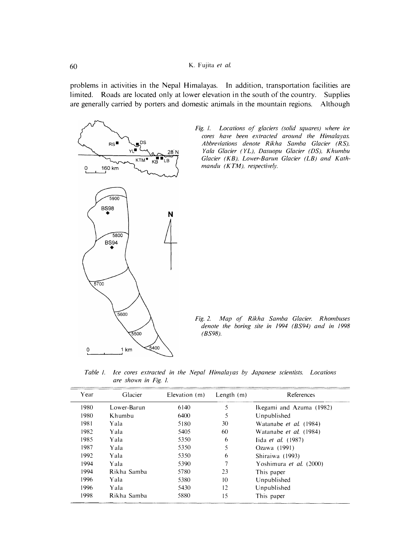problems in activities in the Nepal Himalayas. In addition, transportation facilities are limited. Roads are located only at lower elevation in the south of the country. Supplies are generally carried by porters and domestic animals in the mountain regions. Although





*Fig. 2. Map of Rikha Samba Glacier. Rhombuses denote the boring site in 1994 (BS94) and in 1998 (BS98).* 

*Table I. Ice cores extracted in the Nepal Himalayas by Japanese scientists. Locations are shown in Fig. I.* 

| Year | Glacier     | Elevation (m) | Length $(m)$ | References                     |
|------|-------------|---------------|--------------|--------------------------------|
| 1980 | Lower-Barun | 6140          | 5            | Ikegami and Azuma (1982)       |
| 1980 | Khumbu      | 6400          | 5            | Unpublished                    |
| 1981 | Yala        | 5180          | 30           | Watanabe et al. (1984)         |
| 1982 | Yala        | 5405          | 60           | Watanabe <i>et al.</i> (1984)  |
| 1985 | Yala        | 5350          | 6            | lida <i>et al.</i> (1987)      |
| 1987 | Yala        | 5350          | 5            | Ozawa (1991)                   |
| 1992 | Yala        | 5350          | 6            | Shiraiwa (1993)                |
| 1994 | Yala        | 5390          |              | Yoshimura <i>et al.</i> (2000) |
| 1994 | Rikha Samba | 5780          | 23           | This paper                     |
| 1996 | Yala        | 5380          | 10           | Unpublished                    |
| 1996 | Yala        | 5430          | 12           | Unpublished                    |
| 1998 | Rikha Samba | 5880          | 15           | This paper                     |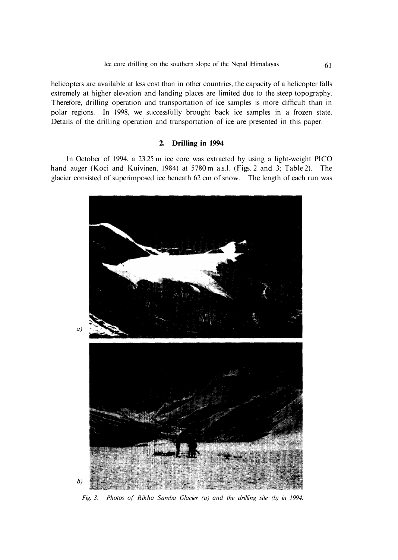helicopters are available at less cost than in other countries, the capacity of a helicopter falls extremely at higher elevation and landing places are limited due to the steep topography. Therefore, drilling operation and transportation of ice samples is more difficult than in polar regions. In 1998, we successfully brought back ice samples in a frozen state. Details of the drilling operation and transportation of ice are presented in this paper.

# **2. Drilling in 1994**

In October of 1994, a 23.25 m ice core was extracted by using a light-weight PICO hand auger (Koci and Kuivinen, 1984) at 5780 m a.s.l. (Figs. 2 and 3; Table 2). The glacier consisted of superimposed ice beneath 62 cm of snow. The length of each run was



*Fig. 3. Photos of Rikha Samba Glacier (a) and the drilling site (b) in 1994.*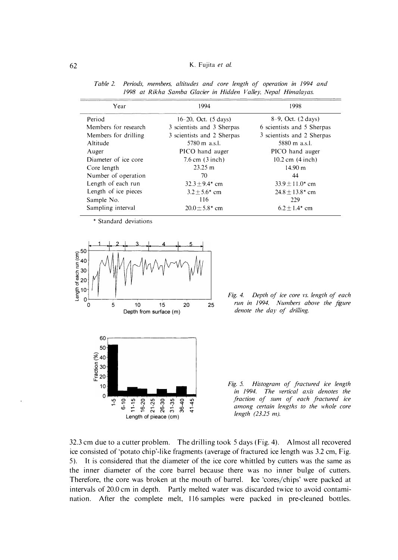#### **62 K. Fujita** *et al.*

| Year                 | 1994                              | 1998                       |  |
|----------------------|-----------------------------------|----------------------------|--|
| Period               | $16-20$ , Oct. $(5 \text{ days})$ | 8-9, Oct. (2 days)         |  |
| Members for research | 3 scientists and 3 Sherpas        | 6 scientists and 5 Sherpas |  |
| Members for drilling | 3 scientists and 2 Sherpas        | 3 scientists and 2 Sherpas |  |
| Altitude             | $5780 \text{ m}$ a.s.l.           | $5880 \text{ m}$ a.s.l.    |  |
| Auger                | PICO hand auger                   | PICO hand auger            |  |
| Diameter of ice core | $7.6$ cm $(3$ inch)               | $10.2$ cm $(4$ inch)       |  |
| Core length          | $23.25 \text{ m}$                 | 14.90 m                    |  |
| Number of operation  | 70                                | 44                         |  |
| Length of each run   | $32.3 + 9.4$ cm                   | $33.9 \pm 11.0^*$ cm       |  |
| Length of ice pieces | $3.2 + 5.6*$ cm                   | $24.8 \pm 13.8^*$ cm       |  |
| Sample No.           | 116                               | 229                        |  |
| Sampling interval    | $20.0 \pm 5.8$ * cm               | $6.2 \pm 1.4$ cm           |  |

*Table 2. Periods, members, altitudes and core length of operation in 1994 and 1998 at Rikha Samba Glacier in Hidden Valley, Nepal Himalayas.* 

**\* Standard deviations** 



*Fig. 4. Depth of ice core vs. length of each run in 1994. Numbers above the figure denote the day of drilling.* 

*Fig. 5. Histogram of fractured ice length in 1994. The vertical axis denotes the fraction of sum of each fractured ice among certain lengths to the whole core length (23.25 m).* 

**32.3 cm due to a cutter problem. The drilling took 5 days (Fig. 4). Almost all recovered**  ice consisted of 'potato chip'-like fragments (average of fractured ice length was 3.2 cm, Fig. **5). It is considered that the diameter of the ice core whittled by cutters was the same as the inner diameter of the core barrel because there was no inner bulge of cutters. Therefore, the core was broken at the mouth of barrel. Ice 'cores/chips' were packed at intervals of 20.0 cm in depth. Partly melted water was discarded twice to avoid contamination. After the complete melt, 116 samples were packed in pre-cleaned bottles.**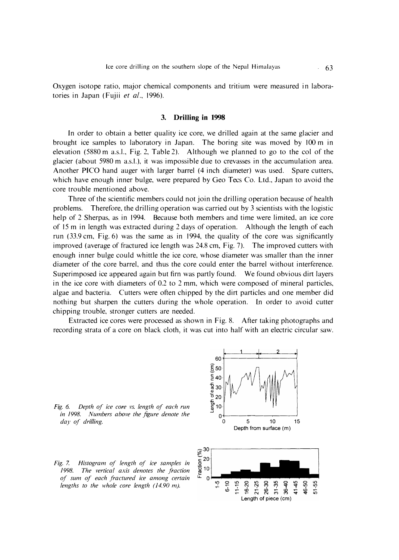Oxygen isotope ratio, major chemical components and tritium were measured in laboratories in Japan (Fujii *et al.,* 1996).

### **3. Drilling in 1998**

In order to obtain a better quality ice core, we drilled again at the same glacier and brought ice samples to laboratory in Japan. The boring site was moved by 100 m in elevation (5880 m a.s.l., Fig. 2, Table 2). Although we planned to go to the col of the glacier (about 5980 m a.s.1.), it was impossible due to crevasses in the accumulation area. Another PICO hand auger with larger barrel (4 inch diameter) was used. Spare cutters, which have enough inner bulge, were prepared by Geo Tecs Co. Ltd., Japan to avoid the core trouble mentioned above.

Three of the scientific members could not join the drilling operation because of health problems. Therefore, the drilling operation was carried out by 3 scientists with the logistic help of 2 Sherpas, as in 1994. Because both members and time were limited, an ice core of 15 m in length was extracted during 2 days of operation. Although the length of each run (33.9 cm, Fig.6) was the same as in 1994, the quality of the core was significantly improved (average of fractured ice length was 24.8 cm, Fig. 7). The improved cutters with enough inner bulge could whittle the ice core, whose diameter was smaller than the inner diameter of the core barrel, and thus the core could enter the barrel without interference. Superimposed ice appeared again but firn was partly found. We found obvious dirt layers in the ice core with diameters of 0.2 to 2 mm, which were composed of mineral particles, algae and bacteria. Cutters were often chipped by the dirt particles and one member did nothing but sharpen the cutters during the whole operation. In order to avoid cutter chipping trouble, stronger cutters are needed.

Extracted ice cores were processed as shown in Fig. 8. After taking photographs and recording strata of a core on black cloth, it was cut into half with an electric circular saw.

*Fig. 6. Depth of ice core vs. length of each run in 1998. Numbers above the figure denote the day of drilling.* 



*Fig. 7. Histogram of length of ice samples in 1998. The vertical axis denotes the fraction of sum of each fractured ice among certain*  lengths to the whole core length (14.90 m).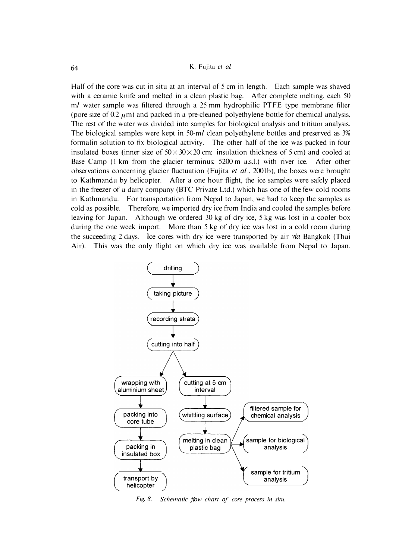**Half of the core was cut in situ at an interval of 5 cm in length. Each sample was shaved**  with a ceramic knife and melted in a clean plastic bag. After complete melting, each 50 *ml* **water sample was filtered through a 25 mm hydrophilic PTFE type membrane filter**  (pore size of  $0.2 \mu$ m) and packed in a pre-cleaned polyethylene bottle for chemical analysis. **The rest of the water was divided into samples for biological analysis and tritium analysis. The biological samples were kept in** *50-ml* **clean polyethylene bottles and preserved as 3% formalin solution to fix biological activity. The other half of the ice was packed in four**  insulated boxes (inner size of  $50 \times 30 \times 20$  cm; insulation thickness of 5 cm) and cooled at Base Camp (1 km from the glacier terminus; 5200 m a.s.l.) with river ice. After other **observations concerning glacier fluctuation (Fujita** *et al.,* **2001b), the boxes were brought to Kathmandu by helicopter. After a one hour flight, the ice samples were safely placed in the freezer of a dai**ry **company (BTC Private Ltd.) which has one of the few cold rooms in Kathmandu. For transportation from Nepal to Japan, we had to keep the samples as cold as possible. Therefore, we imported dry ice from India and cooled the samples before leaving for Japan. Although we ordered 30 kg of d**ry **ice, 5 kg was lost in a cooler box during the one week import. More than 5 kg of d**ry **ice was lost in a cold room during the succeeding 2 days. Ice cores with dry ice were transported by air** *via* **Bangkok (Thai Air). This was the only flight on which dry ice was available from Nepal to Japan.** 



*Fig. 8. Schematic flow chart of core process in situ.*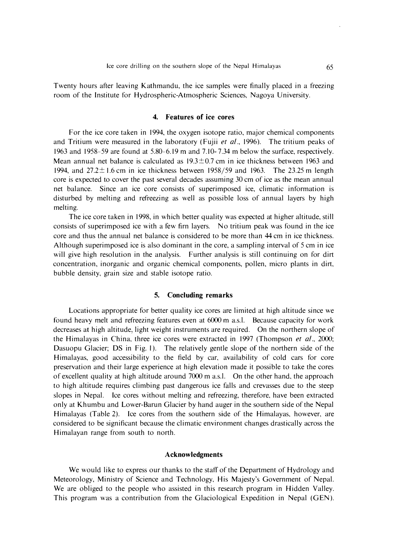**Twenty hours after leaving Kathmandu, the ice samples were finally placed in a freezing room of the Institute for Hydrospheric-Atmospheric Sciences, Nagoya University.** 

# **4. Features of ice cores**

**For the ice core taken in 1994, the oxygen isotope ratio, major chemical components**  and Tritium were measured in the laboratory (Fujii *et al.*, 1996). The tritium peaks of **1963 and 1958-59 are found at 5.80-6. 19 m and 7.10-7.34 m below the surface, respectively. Mean annual net balance is calculated as 19.3±0.7 cm in ice thickness between 1963 and 1994, and 27.2± 1.6 cm in ice thickness between 1958/59 and 1963. The 23.25 m length core is expected to cover the past several decades assuming 30 cm of ice as the mean annual net balance. Since an ice core consists of superimposed ice, climatic information is disturbed by melting and refreezing as well as possible loss of annual layers by high melting.** 

**The ice core taken in 1998, in which better quality was expected at higher altitude, still consists of superimposed ice with a few firn layers. No tritium peak was found in the ice core and thus the annual net balance is considered to be more than 44 cm in ice thickness. Although superimposed ice is also dominant in the core, a sampling interval of 5 cm in ice will give high resolution in the analysis. Further analysis is still continuing on for dirt concentration, inorganic and organic chemical components, pollen, micro plants in dirt, bubble density, grain size and stable isotope ratio.** 

# **5. Concluding remarks**

**Locations appropriate for better quality ice cores are limited at high altitude since we found heavy melt and refreezing features even at 6000 m a.s.l. Because capacity for work decreases at high altitude, light weight instruments are required. On the northern slope of the Himalayas in China, three ice cores were extracted in 1997 (Thompson** *et al.,* **2000; Dasuopu Glacier; DS in Fig. I). The relatively gentle slope of the northern side of the Himalayas, good accessibility to the field by car, availability of cold cars for core preservation and their large experience at high elevation made it possible to take the cores of excellent quality at high altitude around 7000 m a.s.l. On the other hand, the approach to high altitude requires climbing past dangerous ice falls and crevasses due to the steep slopes in Nepal. Ice cores without melting and refreezing, therefore, have been extracted only at Khumbu and Lower-Barun Glacier by hand auger in the southern side of the Nepal Himalayas (Table 2). Ice cores from the southern side of the Himalayas, however, are considered to be significant because the climatic environment changes drastically across the Himalayan range from south to north.** 

#### **Acknowledgments**

**We would like to express our thanks to the staff of the Department of Hydrology and Meteorology, Ministry of Science and Technology, His Majesty's Government of Nepal. We are obliged to the people who assisted in this research program in Hidden Valley. This program was a contribution from the Glaciological Expedition in Nepal (GEN).**